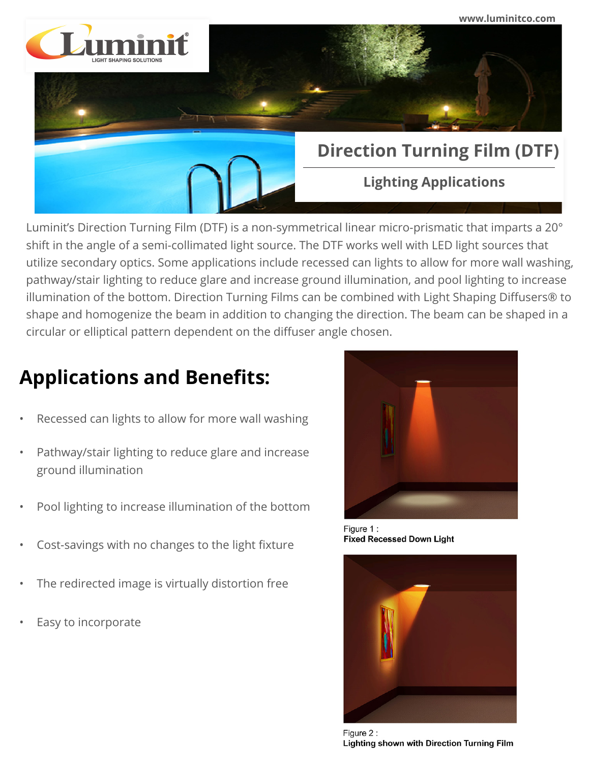

Luminit's Direction Turning Film (DTF) is a non-symmetrical linear micro-prismatic that imparts a 20° shift in the angle of a semi-collimated light source. The DTF works well with LED light sources that utilize secondary optics. Some applications include recessed can lights to allow for more wall washing, pathway/stair lighting to reduce glare and increase ground illumination, and pool lighting to increase illumination of the bottom. Direction Turning Films can be combined with Light Shaping Diffusers® to shape and homogenize the beam in addition to changing the direction. The beam can be shaped in a circular or elliptical pattern dependent on the diffuser angle chosen.

## **Applications and Benefits:**

- Recessed can lights to allow for more wall washing
- Pathway/stair lighting to reduce glare and increase ground illumination
- Pool lighting to increase illumination of the bottom
- Cost-savings with no changes to the light fixture
- The redirected image is virtually distortion free
- Easy to incorporate



Figure 1: **Fixed Recessed Down Light** 



Figure 2: Lighting shown with Direction Turning Film